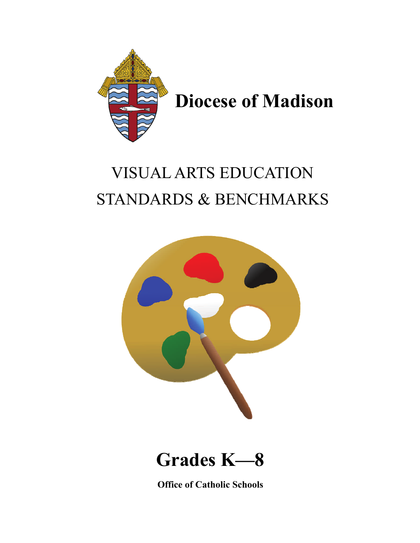

## VISUAL ARTS EDUCATION STANDARDS & BENCHMARKS





**Office of Catholic Schools**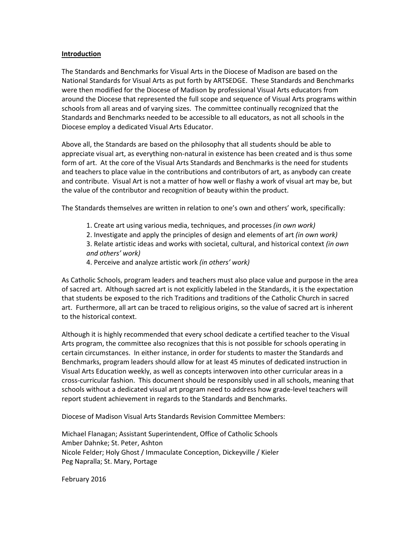## **Introduction**

The Standards and Benchmarks for Visual Arts in the Diocese of Madison are based on the National Standards for Visual Arts as put forth by ARTSEDGE. These Standards and Benchmarks were then modified for the Diocese of Madison by professional Visual Arts educators from around the Diocese that represented the full scope and sequence of Visual Arts programs within schools from all areas and of varying sizes. The committee continually recognized that the Standards and Benchmarks needed to be accessible to all educators, as not all schools in the Diocese employ a dedicated Visual Arts Educator.

Above all, the Standards are based on the philosophy that all students should be able to appreciate visual art, as everything non-natural in existence has been created and is thus some form of art. At the core of the Visual Arts Standards and Benchmarks is the need for students and teachers to place value in the contributions and contributors of art, as anybody can create and contribute. Visual Art is not a matter of how well or flashy a work of visual art may be, but the value of the contributor and recognition of beauty within the product.

The Standards themselves are written in relation to one's own and others' work, specifically:

- 1. Create art using various media, techniques, and processes *(in own work)*
- 2. Investigate and apply the principles of design and elements of art *(in own work)*

3. Relate artistic ideas and works with societal, cultural, and historical context *(in own and others' work)*

4. Perceive and analyze artistic work *(in others' work)*

As Catholic Schools, program leaders and teachers must also place value and purpose in the area of sacred art. Although sacred art is not explicitly labeled in the Standards, it is the expectation that students be exposed to the rich Traditions and traditions of the Catholic Church in sacred art. Furthermore, all art can be traced to religious origins, so the value of sacred art is inherent to the historical context.

Although it is highly recommended that every school dedicate a certified teacher to the Visual Arts program, the committee also recognizes that this is not possible for schools operating in certain circumstances. In either instance, in order for students to master the Standards and Benchmarks, program leaders should allow for at least 45 minutes of dedicated instruction in Visual Arts Education weekly, as well as concepts interwoven into other curricular areas in a cross-curricular fashion. This document should be responsibly used in all schools, meaning that schools without a dedicated visual art program need to address how grade-level teachers will report student achievement in regards to the Standards and Benchmarks.

Diocese of Madison Visual Arts Standards Revision Committee Members:

Michael Flanagan; Assistant Superintendent, Office of Catholic Schools Amber Dahnke; St. Peter, Ashton Nicole Felder; Holy Ghost / Immaculate Conception, Dickeyville / Kieler Peg Napralla; St. Mary, Portage

February 2016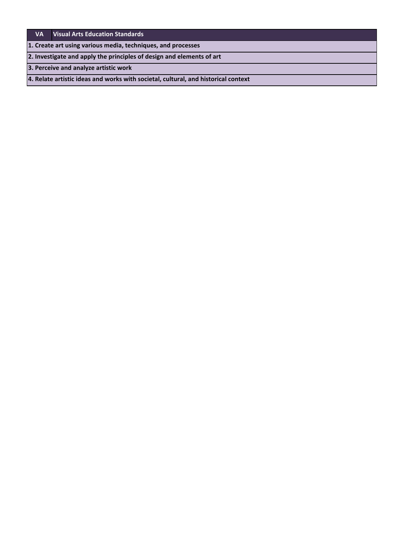## **VA Visual Arts Education Standards**

**1. Create art using various media, techniques, and processes**

**2. Investigate and apply the principles of design and elements of art**

**3. Perceive and analyze artistic work**

**4. Relate artistic ideas and works with societal, cultural, and historical context**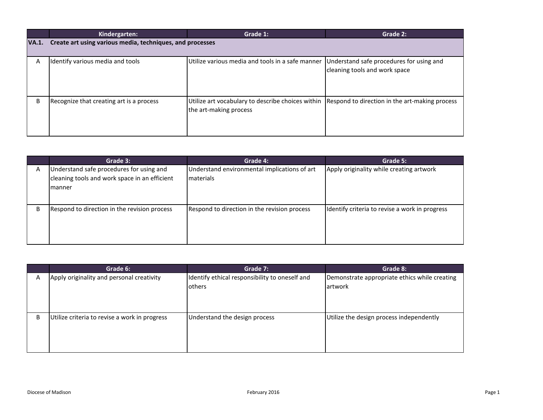|              | Kindergarten:                                             | Grade 1:                                                                    | Grade 2:                                                                  |
|--------------|-----------------------------------------------------------|-----------------------------------------------------------------------------|---------------------------------------------------------------------------|
| <b>VA.1.</b> | Create art using various media, techniques, and processes |                                                                             |                                                                           |
| A            | Identify various media and tools                          | Utilize various media and tools in a safe manner                            | Understand safe procedures for using and<br>cleaning tools and work space |
| B            | Recognize that creating art is a process                  | Utilize art vocabulary to describe choices within<br>the art-making process | Respond to direction in the art-making process                            |

|   | Grade 3:                                                                                             | Grade 4:                                                          | Grade 5:                                       |
|---|------------------------------------------------------------------------------------------------------|-------------------------------------------------------------------|------------------------------------------------|
| Α | Understand safe procedures for using and<br>cleaning tools and work space in an efficient<br>Imanner | Understand environmental implications of art<br><b>Imaterials</b> | Apply originality while creating artwork       |
| B | Respond to direction in the revision process                                                         | Respond to direction in the revision process                      | Identify criteria to revise a work in progress |

|   | Grade 6:                                      | Grade 7:                                       | Grade 8:                                      |
|---|-----------------------------------------------|------------------------------------------------|-----------------------------------------------|
| Α | Apply originality and personal creativity     | Identify ethical responsibility to oneself and | Demonstrate appropriate ethics while creating |
|   |                                               | <b>l</b> others                                | lartwork                                      |
|   |                                               |                                                |                                               |
|   |                                               |                                                |                                               |
|   |                                               |                                                |                                               |
| B | Utilize criteria to revise a work in progress | Understand the design process                  | Utilize the design process independently      |
|   |                                               |                                                |                                               |
|   |                                               |                                                |                                               |
|   |                                               |                                                |                                               |
|   |                                               |                                                |                                               |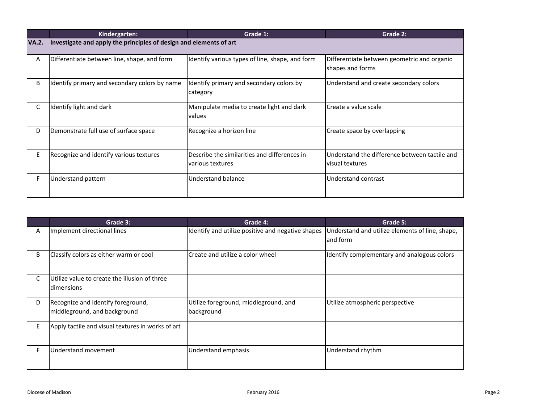|              | Kindergarten:                                                      | Grade 1:                                                         | Grade 2:                                                         |
|--------------|--------------------------------------------------------------------|------------------------------------------------------------------|------------------------------------------------------------------|
| <b>VA.2.</b> | Investigate and apply the principles of design and elements of art |                                                                  |                                                                  |
| A            | Differentiate between line, shape, and form                        | Identify various types of line, shape, and form                  | Differentiate between geometric and organic<br>shapes and forms  |
| B            | Identify primary and secondary colors by name                      | Identify primary and secondary colors by<br>category             | Understand and create secondary colors                           |
| C            | Identify light and dark                                            | Manipulate media to create light and dark<br>values              | Create a value scale                                             |
| D            | Demonstrate full use of surface space                              | Recognize a horizon line                                         | Create space by overlapping                                      |
| E            | Recognize and identify various textures                            | Describe the similarities and differences in<br>various textures | Understand the difference between tactile and<br>visual textures |
| F.           | <b>Understand pattern</b>                                          | Understand balance                                               | Understand contrast                                              |

|              | Grade 3:                                                           | Grade 4:                                            | Grade 5:                                                    |
|--------------|--------------------------------------------------------------------|-----------------------------------------------------|-------------------------------------------------------------|
| A            | Implement directional lines                                        | Identify and utilize positive and negative shapes   | Understand and utilize elements of line, shape,<br>and form |
| B            | Classify colors as either warm or cool                             | Create and utilize a color wheel                    | Identify complementary and analogous colors                 |
| $\mathsf{C}$ | Utilize value to create the illusion of three<br>dimensions        |                                                     |                                                             |
| D            | Recognize and identify foreground,<br>middleground, and background | Utilize foreground, middleground, and<br>background | Utilize atmospheric perspective                             |
| E            | Apply tactile and visual textures in works of art                  |                                                     |                                                             |
| F            | Understand movement                                                | Understand emphasis                                 | Understand rhythm                                           |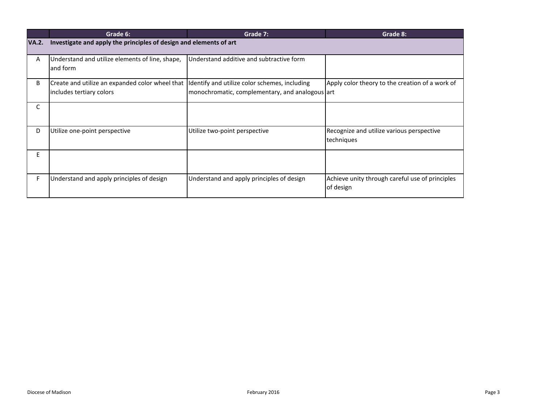|              | Grade 6:                                                                    | Grade 7:                                                                                         | Grade 8:                                                     |
|--------------|-----------------------------------------------------------------------------|--------------------------------------------------------------------------------------------------|--------------------------------------------------------------|
| <b>VA.2.</b> | Investigate and apply the principles of design and elements of art          |                                                                                                  |                                                              |
| A            | Understand and utilize elements of line, shape,<br>and form                 | Understand additive and subtractive form                                                         |                                                              |
| B            | Create and utilize an expanded color wheel that<br>includes tertiary colors | Identify and utilize color schemes, including<br>monochromatic, complementary, and analogous art | Apply color theory to the creation of a work of              |
| C            |                                                                             |                                                                                                  |                                                              |
| D            | Utilize one-point perspective                                               | Utilize two-point perspective                                                                    | Recognize and utilize various perspective<br>techniques      |
| E            |                                                                             |                                                                                                  |                                                              |
| F.           | Understand and apply principles of design                                   | Understand and apply principles of design                                                        | Achieve unity through careful use of principles<br>of design |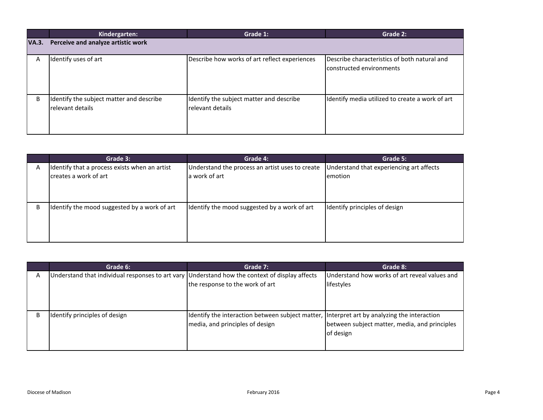|              | Kindergarten:                            | Grade 1:                                      | Grade 2:                                        |
|--------------|------------------------------------------|-----------------------------------------------|-------------------------------------------------|
| <b>VA.3.</b> | Perceive and analyze artistic work       |                                               |                                                 |
|              |                                          |                                               |                                                 |
| A            | Identify uses of art                     | Describe how works of art reflect experiences | Describe characteristics of both natural and    |
|              |                                          |                                               | constructed environments                        |
|              |                                          |                                               |                                                 |
|              |                                          |                                               |                                                 |
|              |                                          |                                               |                                                 |
| B            | Identify the subject matter and describe | Identify the subject matter and describe      | Identify media utilized to create a work of art |
|              | relevant details                         | relevant details                              |                                                 |
|              |                                          |                                               |                                                 |
|              |                                          |                                               |                                                 |
|              |                                          |                                               |                                                 |

|   | Grade 3:                                      | Grade 4:                                        | Grade 5:                                 |
|---|-----------------------------------------------|-------------------------------------------------|------------------------------------------|
| A | Identify that a process exists when an artist | Understand the process an artist uses to create | Understand that experiencing art affects |
|   | creates a work of art                         | a work of art                                   | emotion                                  |
|   |                                               |                                                 |                                          |
|   |                                               |                                                 |                                          |
|   |                                               |                                                 |                                          |
| B | Identify the mood suggested by a work of art  | Identify the mood suggested by a work of art    | Identify principles of design            |
|   |                                               |                                                 |                                          |
|   |                                               |                                                 |                                          |
|   |                                               |                                                 |                                          |

|   | Grade 6:                                                                                       | Grade 7:                                                                                                                       | Grade 8:                                                    |
|---|------------------------------------------------------------------------------------------------|--------------------------------------------------------------------------------------------------------------------------------|-------------------------------------------------------------|
| Α | Understand that individual responses to art vary Understand how the context of display affects | the response to the work of art                                                                                                | Understand how works of art reveal values and<br>lifestyles |
| B | Identify principles of design                                                                  | Identify the interaction between subject matter, Interpret art by analyzing the interaction<br>media, and principles of design | between subject matter, media, and principles<br>of design  |